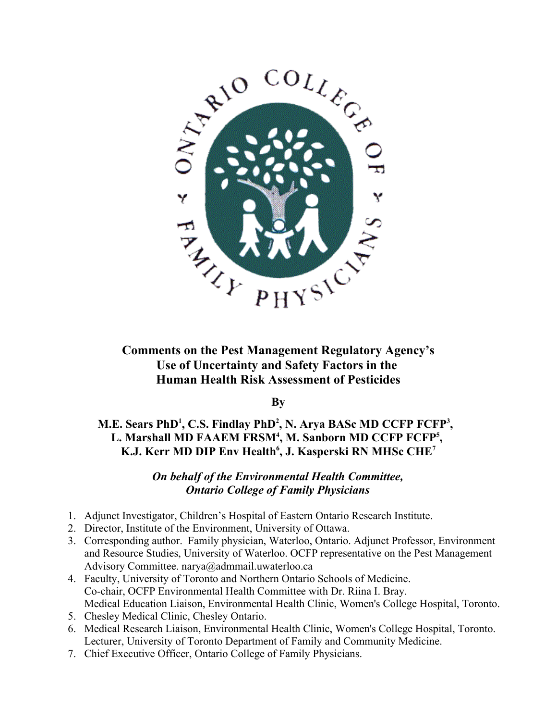

# **Comments on the Pest Management Regulatory Agency's Use of Uncertainty and Safety Factors in the Human Health Risk Assessment of Pesticides**

**By**

**M.E. Sears PhD<sup>1</sup>, C.S. Findlay PhD<sup>2</sup>, N. Arya BASc MD CCFP FCFP<sup>3</sup>,** L. Marshall MD FAAEM FRSM<sup>4</sup>, M. Sanborn MD CCFP FCFP<sup>5</sup>, **K.J. Kerr MD DIP Env Health 6 , J. Kasperski RN MHSc CHE 7**

# *On behalf of the Environmental Health Committee, Ontario College of Family Physicians*

- 1. Adjunct Investigator, Children's Hospital of Eastern Ontario Research Institute.
- 2. Director, Institute of the Environment, University of Ottawa.
- 3. Corresponding author. Family physician, Waterloo, Ontario. Adjunct Professor, Environment and Resource Studies, University of Waterloo. OCFP representative on the Pest Management Advisory Committee. narya@admmail.uwaterloo.ca
- 4. Faculty, University of Toronto and Northern Ontario Schools of Medicine. Co-chair, OCFP Environmental Health Committee with Dr. Riina I. Bray. Medical Education Liaison, Environmental Health Clinic, Women's College Hospital, Toronto.
- 5. Chesley Medical Clinic, Chesley Ontario.
- 6. Medical Research Liaison, Environmental Health Clinic, Women's College Hospital, Toronto. Lecturer, University of Toronto Department of Family and Community Medicine.
- 7. Chief Executive Officer, Ontario College of Family Physicians.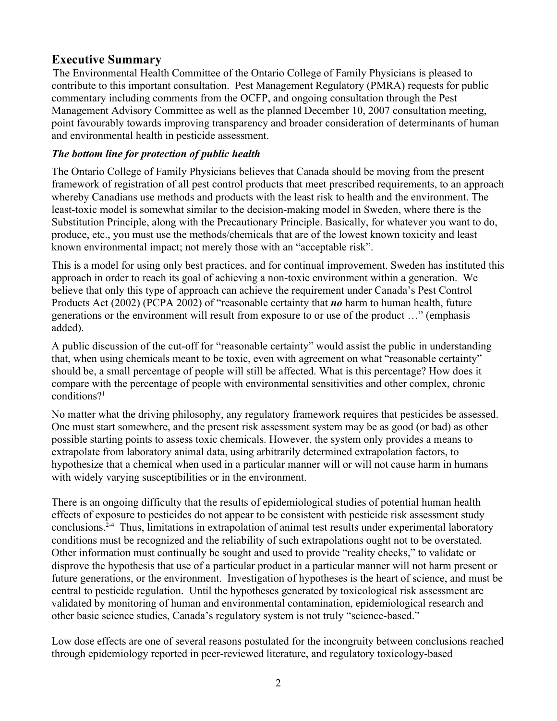# **Executive Summary**

The Environmental Health Committee of the Ontario College of Family Physicians is pleased to contribute to this important consultation. Pest Management Regulatory (PMRA) requests for public commentary including comments from the OCFP, and ongoing consultation through the Pest Management Advisory Committee as well as the planned December 10, 2007 consultation meeting, point favourably towards improving transparency and broader consideration of determinants of human and environmental health in pesticide assessment.

# *The bottom line for protection of public health*

The Ontario College of Family Physicians believes that Canada should be moving from the present framework of registration of all pest control products that meet prescribed requirements, to an approach whereby Canadians use methods and products with the least risk to health and the environment. The least-toxic model is somewhat similar to the decision-making model in Sweden, where there is the Substitution Principle, along with the Precautionary Principle. Basically, for whatever you want to do, produce, etc., you must use the methods/chemicals that are of the lowest known toxicity and least known environmental impact; not merely those with an "acceptable risk".

This is a model for using only best practices, and for continual improvement. Sweden has instituted this approach in order to reach its goal of achieving a non-toxic environment within a generation. We believe that only this type of approach can achieve the requirement under Canada's Pest Control Products Act (2002) (PCPA 2002) of "reasonable certainty that *no* harm to human health, future generations or the environment will result from exposure to or use of the product …" (emphasis added).

A public discussion of the cut-off for "reasonable certainty" would assist the public in understanding that, when using chemicals meant to be toxic, even with agreement on what "reasonable certainty" should be, a small percentage of people will still be affected. What is this percentage? How does it compare with the percentage of people with environmental sensitivities and other complex, chronic conditions? 1

No matter what the driving philosophy, any regulatory framework requires that pesticides be assessed. One must start somewhere, and the present risk assessment system may be as good (or bad) as other possible starting points to assess toxic chemicals. However, the system only provides a means to extrapolate from laboratory animal data, using arbitrarily determined extrapolation factors, to hypothesize that a chemical when used in a particular manner will or will not cause harm in humans with widely varying susceptibilities or in the environment.

There is an ongoing difficulty that the results of epidemiological studies of potential human health effects of exposure to pesticides do not appear to be consistent with pesticide risk assessment study conclusions. 2-4 Thus, limitations in extrapolation of animal test results under experimental laboratory conditions must be recognized and the reliability of such extrapolations ought not to be overstated. Other information must continually be sought and used to provide "reality checks," to validate or disprove the hypothesis that use of a particular product in a particular manner will not harm present or future generations, or the environment. Investigation of hypotheses is the heart of science, and must be central to pesticide regulation. Until the hypotheses generated by toxicological risk assessment are validated by monitoring of human and environmental contamination, epidemiological research and other basic science studies, Canada's regulatory system is not truly "science-based."

Low dose effects are one of several reasons postulated for the incongruity between conclusions reached through epidemiology reported in peer-reviewed literature, and regulatory toxicology-based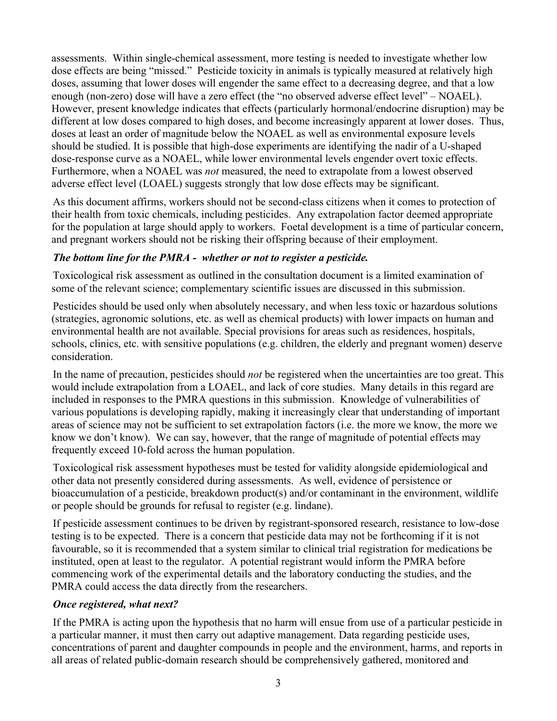assessments. Within single-chemical assessment, more testing is needed to investigate whether low dose effects are being "missed." Pesticide toxicity in animals is typically measured at relatively high doses, assuming that lower doses will engender the same effect to a decreasing degree, and that a low enough (non-zero) dose will have a zero effect (the "no observed adverse effect level" – NOAEL). However, present knowledge indicates that effects (particularly hormonal/endocrine disruption) may be different at low doses compared to high doses, and become increasingly apparent at lower doses. Thus, doses at least an order of magnitude below the NOAEL as well as environmental exposure levels should be studied. It is possible that high-dose experiments are identifying the nadir of a U-shaped dose-response curve as a NOAEL, while lower environmental levels engender overt toxic effects. Furthermore, when a NOAEL was *not* measured, the need to extrapolate from a lowest observed adverse effect level (LOAEL) suggests strongly that low dose effects may be significant.

As this document affirms, workers should not be second-class citizens when it comes to protection of their health from toxic chemicals, including pesticides. Any extrapolation factor deemed appropriate for the population at large should apply to workers. Foetal development is a time of particular concern, and pregnant workers should not be risking their offspring because of their employment.

# *The bottom line for the PMRA - whether or not to register a pesticide.*

Toxicological risk assessment as outlined in the consultation document is a limited examination of some of the relevant science; complementary scientific issues are discussed in this submission.

Pesticides should be used only when absolutely necessary, and when less toxic or hazardous solutions (strategies, agronomic solutions, etc. as well as chemical products) with lower impacts on human and environmental health are not available. Special provisions for areas such as residences, hospitals, schools, clinics, etc. with sensitive populations (e.g. children, the elderly and pregnant women) deserve consideration.

In the name of precaution, pesticides should *not* be registered when the uncertainties are too great. This would include extrapolation from a LOAEL, and lack of core studies. Many details in this regard are included in responses to the PMRA questions in this submission. Knowledge of vulnerabilities of various populations is developing rapidly, making it increasingly clear that understanding of important areas of science may not be sufficient to set extrapolation factors (i.e. the more we know, the more we know we don't know). We can say, however, that the range of magnitude of potential effects may frequently exceed 10-fold across the human population.

Toxicological risk assessment hypotheses must be tested for validity alongside epidemiological and other data not presently considered during assessments. As well, evidence of persistence or bioaccumulation of a pesticide, breakdown product(s) and/or contaminant in the environment, wildlife or people should be grounds for refusal to register (e.g. lindane).

If pesticide assessment continues to be driven by registrant-sponsored research, resistance to low-dose testing is to be expected. There is a concern that pesticide data may not be forthcoming if it is not favourable, so it is recommended that a system similar to clinical trial registration for medications be instituted, open at least to the regulator. A potential registrant would inform the PMRA before commencing work of the experimental details and the laboratory conducting the studies, and the PMRA could access the data directly from the researchers.

# *Once registered, what next?*

If the PMRA is acting upon the hypothesis that no harm will ensue from use of a particular pesticide in a particular manner, it must then carry out adaptive management. Data regarding pesticide uses, concentrations of parent and daughter compounds in people and the environment, harms, and reports in all areas of related public-domain research should be comprehensively gathered, monitored and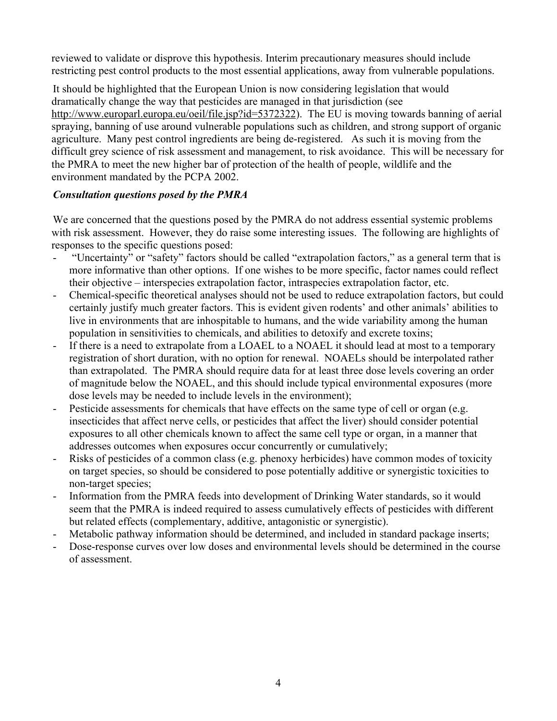reviewed to validate or disprove this hypothesis. Interim precautionary measures should include restricting pest control products to the most essential applications, away from vulnerable populations.

It should be highlighted that the European Union is now considering legislation that would dramatically change the way that pesticides are managed in that jurisdiction (see [http://www.europarl.europa.eu/oeil/file.jsp?id=5372322\)](http://www.europarl.europa.eu/oeil/file.jsp?id=5372322). The EU is moving towards banning of aerial spraying, banning of use around vulnerable populations such as children, and strong support of organic agriculture. Many pest control ingredients are being de-registered. As such it is moving from the difficult grey science of risk assessment and management, to risk avoidance. This will be necessary for the PMRA to meet the new higher bar of protection of the health of people, wildlife and the environment mandated by the PCPA 2002.

# *Consultation questions posed by the PMRA*

We are concerned that the questions posed by the PMRA do not address essential systemic problems with risk assessment. However, they do raise some interesting issues. The following are highlights of responses to the specific questions posed:

- "Uncertainty" or "safety" factors should be called "extrapolation factors," as a general term that is more informative than other options. If one wishes to be more specific, factor names could reflect their objective – interspecies extrapolation factor, intraspecies extrapolation factor, etc.
- Chemical-specific theoretical analyses should not be used to reduce extrapolation factors, but could certainly justify much greater factors. This is evident given rodents' and other animals' abilities to live in environments that are inhospitable to humans, and the wide variability among the human population in sensitivities to chemicals, and abilities to detoxify and excrete toxins;
- If there is a need to extrapolate from a LOAEL to a NOAEL it should lead at most to a temporary registration of short duration, with no option for renewal. NOAELs should be interpolated rather than extrapolated. The PMRA should require data for at least three dose levels covering an order of magnitude below the NOAEL, and this should include typical environmental exposures (more dose levels may be needed to include levels in the environment);
- Pesticide assessments for chemicals that have effects on the same type of cell or organ (e.g. insecticides that affect nerve cells, or pesticides that affect the liver) should consider potential exposures to all other chemicals known to affect the same cell type or organ, in a manner that addresses outcomes when exposures occur concurrently or cumulatively;
- Risks of pesticides of a common class (e.g. phenoxy herbicides) have common modes of toxicity on target species, so should be considered to pose potentially additive or synergistic toxicities to non-target species;
- Information from the PMRA feeds into development of Drinking Water standards, so it would seem that the PMRA is indeed required to assess cumulatively effects of pesticides with different but related effects (complementary, additive, antagonistic or synergistic).
- Metabolic pathway information should be determined, and included in standard package inserts;
- Dose-response curves over low doses and environmental levels should be determined in the course of assessment.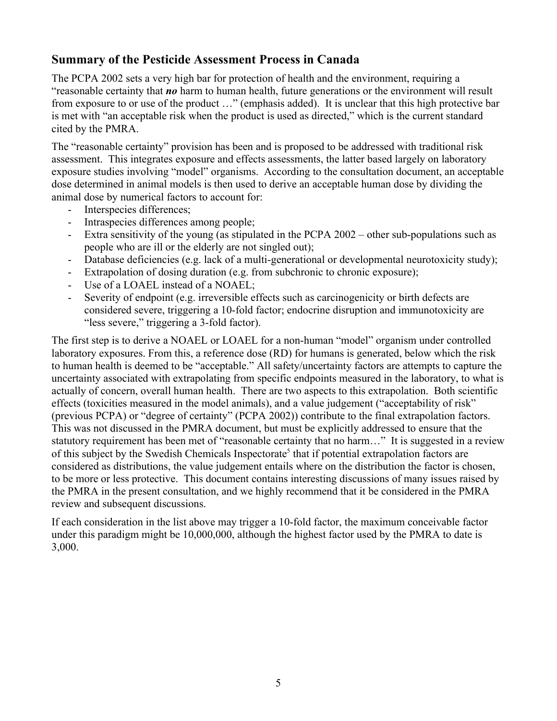# **Summary of the Pesticide Assessment Process in Canada**

The PCPA 2002 sets a very high bar for protection of health and the environment, requiring a "reasonable certainty that *no* harm to human health, future generations or the environment will result from exposure to or use of the product …" (emphasis added). It is unclear that this high protective bar is met with "an acceptable risk when the product is used as directed," which is the current standard cited by the PMRA.

The "reasonable certainty" provision has been and is proposed to be addressed with traditional risk assessment. This integrates exposure and effects assessments, the latter based largely on laboratory exposure studies involving "model" organisms. According to the consultation document, an acceptable dose determined in animal models is then used to derive an acceptable human dose by dividing the animal dose by numerical factors to account for:

- Interspecies differences;
- Intraspecies differences among people;
- Extra sensitivity of the young (as stipulated in the PCPA 2002 other sub-populations such as people who are ill or the elderly are not singled out);
- Database deficiencies (e.g. lack of a multi-generational or developmental neurotoxicity study);
- Extrapolation of dosing duration (e.g. from subchronic to chronic exposure);
- Use of a LOAEL instead of a NOAEL;
- Severity of endpoint (e.g. irreversible effects such as carcinogenicity or birth defects are considered severe, triggering a 10-fold factor; endocrine disruption and immunotoxicity are "less severe," triggering a 3-fold factor).

The first step is to derive a NOAEL or LOAEL for a non-human "model" organism under controlled laboratory exposures. From this, a reference dose (RD) for humans is generated, below which the risk to human health is deemed to be "acceptable." All safety/uncertainty factors are attempts to capture the uncertainty associated with extrapolating from specific endpoints measured in the laboratory, to what is actually of concern, overall human health. There are two aspects to this extrapolation. Both scientific effects (toxicities measured in the model animals), and a value judgement ("acceptability of risk" (previous PCPA) or "degree of certainty" (PCPA 2002)) contribute to the final extrapolation factors. This was not discussed in the PMRA document, but must be explicitly addressed to ensure that the statutory requirement has been met of "reasonable certainty that no harm…" It is suggested in a review of this subject by the Swedish Chemicals Inspectorate<sup>5</sup> that if potential extrapolation factors are considered as distributions, the value judgement entails where on the distribution the factor is chosen, to be more or less protective. This document contains interesting discussions of many issues raised by the PMRA in the present consultation, and we highly recommend that it be considered in the PMRA review and subsequent discussions.

If each consideration in the list above may trigger a 10-fold factor, the maximum conceivable factor under this paradigm might be 10,000,000, although the highest factor used by the PMRA to date is 3,000.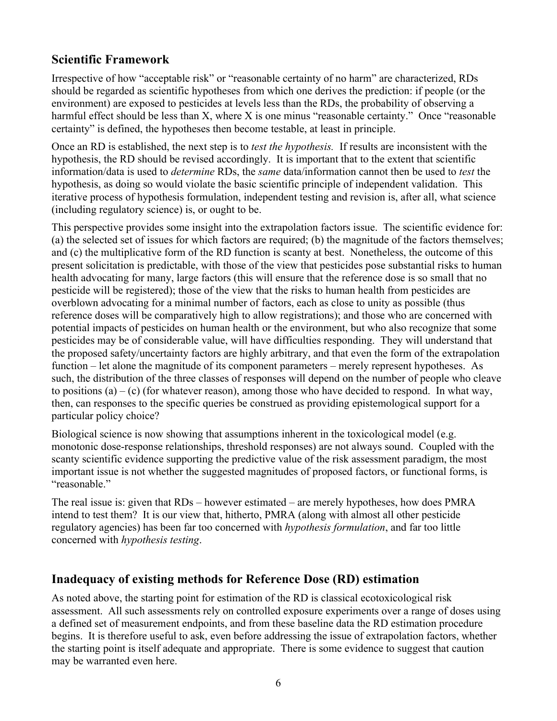# **Scientific Framework**

Irrespective of how "acceptable risk" or "reasonable certainty of no harm" are characterized, RDs should be regarded as scientific hypotheses from which one derives the prediction: if people (or the environment) are exposed to pesticides at levels less than the RDs, the probability of observing a harmful effect should be less than X, where X is one minus "reasonable certainty." Once "reasonable certainty" is defined, the hypotheses then become testable, at least in principle.

Once an RD is established, the next step is to *test the hypothesis.* If results are inconsistent with the hypothesis, the RD should be revised accordingly. It is important that to the extent that scientific information/data is used to *determine* RDs, the *same* data/information cannot then be used to *test* the hypothesis, as doing so would violate the basic scientific principle of independent validation. This iterative process of hypothesis formulation, independent testing and revision is, after all, what science (including regulatory science) is, or ought to be.

This perspective provides some insight into the extrapolation factors issue. The scientific evidence for: (a) the selected set of issues for which factors are required; (b) the magnitude of the factors themselves; and (c) the multiplicative form of the RD function is scanty at best. Nonetheless, the outcome of this present solicitation is predictable, with those of the view that pesticides pose substantial risks to human health advocating for many, large factors (this will ensure that the reference dose is so small that no pesticide will be registered); those of the view that the risks to human health from pesticides are overblown advocating for a minimal number of factors, each as close to unity as possible (thus reference doses will be comparatively high to allow registrations); and those who are concerned with potential impacts of pesticides on human health or the environment, but who also recognize that some pesticides may be of considerable value, will have difficulties responding. They will understand that the proposed safety/uncertainty factors are highly arbitrary, and that even the form of the extrapolation function – let alone the magnitude of its component parameters – merely represent hypotheses. As such, the distribution of the three classes of responses will depend on the number of people who cleave to positions  $(a) - (c)$  (for whatever reason), among those who have decided to respond. In what way, then, can responses to the specific queries be construed as providing epistemological support for a particular policy choice?

Biological science is now showing that assumptions inherent in the toxicological model (e.g. monotonic dose-response relationships, threshold responses) are not always sound. Coupled with the scanty scientific evidence supporting the predictive value of the risk assessment paradigm, the most important issue is not whether the suggested magnitudes of proposed factors, or functional forms, is "reasonable."

The real issue is: given that RDs – however estimated – are merely hypotheses, how does PMRA intend to test them? It is our view that, hitherto, PMRA (along with almost all other pesticide regulatory agencies) has been far too concerned with *hypothesis formulation*, and far too little concerned with *hypothesis testing*.

# **Inadequacy of existing methods for Reference Dose (RD) estimation**

As noted above, the starting point for estimation of the RD is classical ecotoxicological risk assessment. All such assessments rely on controlled exposure experiments over a range of doses using a defined set of measurement endpoints, and from these baseline data the RD estimation procedure begins. It is therefore useful to ask, even before addressing the issue of extrapolation factors, whether the starting point is itself adequate and appropriate. There is some evidence to suggest that caution may be warranted even here.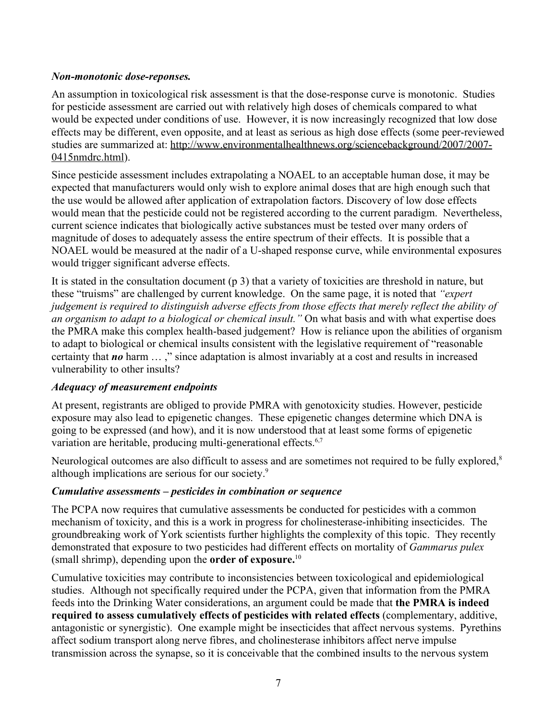# *Non-monotonic dose-reponses.*

An assumption in toxicological risk assessment is that the dose-response curve is monotonic. Studies for pesticide assessment are carried out with relatively high doses of chemicals compared to what would be expected under conditions of use. However, it is now increasingly recognized that low dose effects may be different, even opposite, and at least as serious as high dose effects (some peer-reviewed studies are summarized at: [http://www.environmentalhealthnews.org/sciencebackground/2007/2007-](http://www.environmentalhealthnews.org/sciencebackground/2007/2007-0415nmdrc.html) [0415nmdrc.html](http://www.environmentalhealthnews.org/sciencebackground/2007/2007-0415nmdrc.html)).

Since pesticide assessment includes extrapolating a NOAEL to an acceptable human dose, it may be expected that manufacturers would only wish to explore animal doses that are high enough such that the use would be allowed after application of extrapolation factors. Discovery of low dose effects would mean that the pesticide could not be registered according to the current paradigm. Nevertheless, current science indicates that biologically active substances must be tested over many orders of magnitude of doses to adequately assess the entire spectrum of their effects. It is possible that a NOAEL would be measured at the nadir of a U-shaped response curve, while environmental exposures would trigger significant adverse effects.

It is stated in the consultation document (p 3) that a variety of toxicities are threshold in nature, but these "truisms" are challenged by current knowledge. On the same page, it is noted that *"expert judgement is required to distinguish adverse effects from those effects that merely reflect the ability of an organism to adapt to a biological or chemical insult."* On what basis and with what expertise does the PMRA make this complex health-based judgement? How is reliance upon the abilities of organism to adapt to biological or chemical insults consistent with the legislative requirement of "reasonable certainty that *no* harm … ," since adaptation is almost invariably at a cost and results in increased vulnerability to other insults?

# *Adequacy of measurement endpoints*

At present, registrants are obliged to provide PMRA with genotoxicity studies. However, pesticide exposure may also lead to epigenetic changes. These epigenetic changes determine which DNA is going to be expressed (and how), and it is now understood that at least some forms of epigenetic variation are heritable, producing multi-generational effects.<sup>6,7</sup>

Neurological outcomes are also difficult to assess and are sometimes not required to be fully explored,<sup>8</sup> although implications are serious for our society.<sup>9</sup>

# *Cumulative assessments – pesticides in combination or sequence*

The PCPA now requires that cumulative assessments be conducted for pesticides with a common mechanism of toxicity, and this is a work in progress for cholinesterase-inhibiting insecticides. The groundbreaking work of York scientists further highlights the complexity of this topic. They recently demonstrated that exposure to two pesticides had different effects on mortality of *Gammarus pulex* (small shrimp), depending upon the **order of exposure.** 10

Cumulative toxicities may contribute to inconsistencies between toxicological and epidemiological studies. Although not specifically required under the PCPA, given that information from the PMRA feeds into the Drinking Water considerations, an argument could be made that **the PMRA is indeed required to assess cumulatively effects of pesticides with related effects** (complementary, additive, antagonistic or synergistic). One example might be insecticides that affect nervous systems. Pyrethins affect sodium transport along nerve fibres, and cholinesterase inhibitors affect nerve impulse transmission across the synapse, so it is conceivable that the combined insults to the nervous system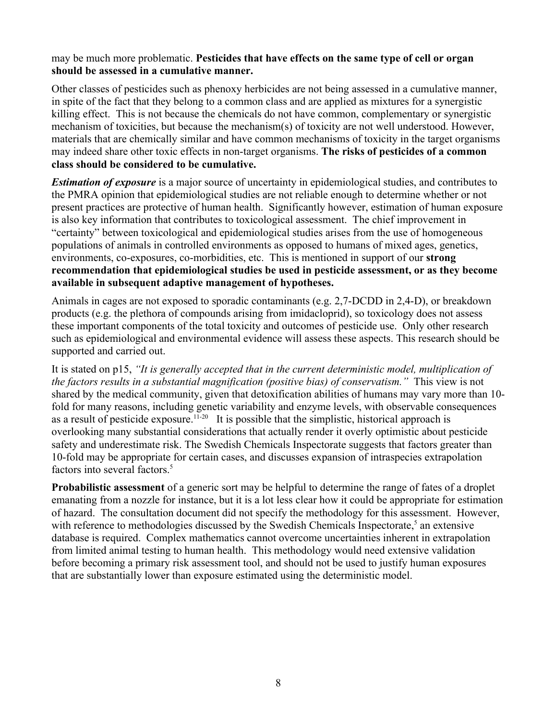#### may be much more problematic. **Pesticides that have effects on the same type of cell or organ should be assessed in a cumulative manner.**

Other classes of pesticides such as phenoxy herbicides are not being assessed in a cumulative manner, in spite of the fact that they belong to a common class and are applied as mixtures for a synergistic killing effect. This is not because the chemicals do not have common, complementary or synergistic mechanism of toxicities, but because the mechanism(s) of toxicity are not well understood. However, materials that are chemically similar and have common mechanisms of toxicity in the target organisms may indeed share other toxic effects in non-target organisms. **The risks of pesticides of a common class should be considered to be cumulative.** 

*Estimation of exposure* is a major source of uncertainty in epidemiological studies, and contributes to the PMRA opinion that epidemiological studies are not reliable enough to determine whether or not present practices are protective of human health. Significantly however, estimation of human exposure is also key information that contributes to toxicological assessment. The chief improvement in "certainty" between toxicological and epidemiological studies arises from the use of homogeneous populations of animals in controlled environments as opposed to humans of mixed ages, genetics, environments, co-exposures, co-morbidities, etc. This is mentioned in support of our **strong recommendation that epidemiological studies be used in pesticide assessment, or as they become available in subsequent adaptive management of hypotheses.**

Animals in cages are not exposed to sporadic contaminants (e.g. 2,7-DCDD in 2,4-D), or breakdown products (e.g. the plethora of compounds arising from imidacloprid), so toxicology does not assess these important components of the total toxicity and outcomes of pesticide use. Only other research such as epidemiological and environmental evidence will assess these aspects. This research should be supported and carried out.

It is stated on p15, *"It is generally accepted that in the current deterministic model, multiplication of the factors results in a substantial magnification (positive bias) of conservatism."* This view is not shared by the medical community, given that detoxification abilities of humans may vary more than 10 fold for many reasons, including genetic variability and enzyme levels, with observable consequences as a result of pesticide exposure.<sup>11-20</sup> It is possible that the simplistic, historical approach is overlooking many substantial considerations that actually render it overly optimistic about pesticide safety and underestimate risk. The Swedish Chemicals Inspectorate suggests that factors greater than 10-fold may be appropriate for certain cases, and discusses expansion of intraspecies extrapolation factors into several factors. 5

**Probabilistic assessment** of a generic sort may be helpful to determine the range of fates of a droplet emanating from a nozzle for instance, but it is a lot less clear how it could be appropriate for estimation of hazard. The consultation document did not specify the methodology for this assessment. However, with reference to methodologies discussed by the Swedish Chemicals Inspectorate,<sup>5</sup> an extensive database is required. Complex mathematics cannot overcome uncertainties inherent in extrapolation from limited animal testing to human health. This methodology would need extensive validation before becoming a primary risk assessment tool, and should not be used to justify human exposures that are substantially lower than exposure estimated using the deterministic model.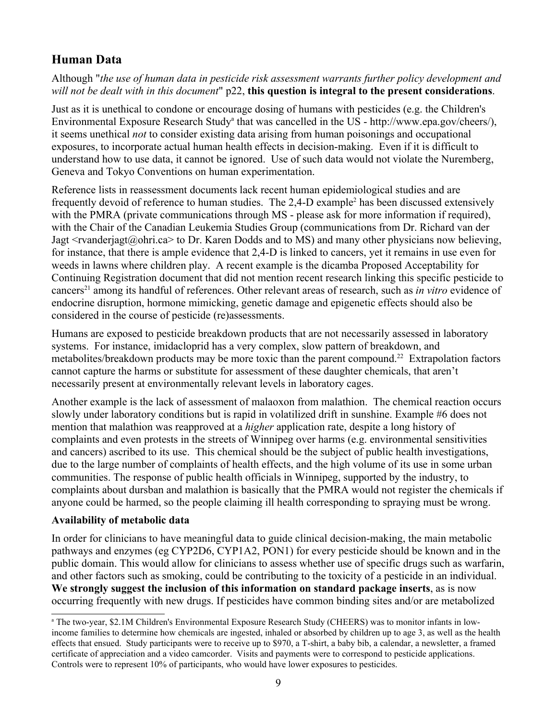# **Human Data**

Although "*the use of human data in pesticide risk assessment warrants further policy development and will not be dealt with in this document*" p22, **this question is integral to the present considerations**.

Just as it is unethical to condone or encourage dosing of humans with pesticides (e.g. the Children's Environment[a](#page-8-0)l Exposure Research Study<sup>a</sup> that was cancelled in the US - http://www.epa.gov/cheers/), it seems unethical *not* to consider existing data arising from human poisonings and occupational exposures, to incorporate actual human health effects in decision-making. Even if it is difficult to understand how to use data, it cannot be ignored. Use of such data would not violate the Nuremberg, Geneva and Tokyo Conventions on human experimentation.

Reference lists in reassessment documents lack recent human epidemiological studies and are frequently devoid of reference to human studies. The 2,4-D example<sup>2</sup> has been discussed extensively with the PMRA (private communications through MS - please ask for more information if required), with the Chair of the Canadian Leukemia Studies Group (communications from Dr. Richard van der Jagt <rvanderjagt@ohri.ca> to Dr. Karen Dodds and to MS) and many other physicians now believing, for instance, that there is ample evidence that 2,4-D is linked to cancers, yet it remains in use even for weeds in lawns where children play. A recent example is the dicamba Proposed Acceptability for Continuing Registration document that did not mention recent research linking this specific pesticide to cancers<sup>21</sup> among its handful of references. Other relevant areas of research, such as *in vitro* evidence of endocrine disruption, hormone mimicking, genetic damage and epigenetic effects should also be considered in the course of pesticide (re)assessments.

Humans are exposed to pesticide breakdown products that are not necessarily assessed in laboratory systems. For instance, imidacloprid has a very complex, slow pattern of breakdown, and metabolites/breakdown products may be more toxic than the parent compound.<sup>22</sup> Extrapolation factors cannot capture the harms or substitute for assessment of these daughter chemicals, that aren't necessarily present at environmentally relevant levels in laboratory cages.

Another example is the lack of assessment of malaoxon from malathion. The chemical reaction occurs slowly under laboratory conditions but is rapid in volatilized drift in sunshine. Example #6 does not mention that malathion was reapproved at a *higher* application rate, despite a long history of complaints and even protests in the streets of Winnipeg over harms (e.g. environmental sensitivities and cancers) ascribed to its use. This chemical should be the subject of public health investigations, due to the large number of complaints of health effects, and the high volume of its use in some urban communities. The response of public health officials in Winnipeg, supported by the industry, to complaints about dursban and malathion is basically that the PMRA would not register the chemicals if anyone could be harmed, so the people claiming ill health corresponding to spraying must be wrong.

# **Availability of metabolic data**

In order for clinicians to have meaningful data to guide clinical decision-making, the main metabolic pathways and enzymes (eg CYP2D6, CYP1A2, PON1) for every pesticide should be known and in the public domain. This would allow for clinicians to assess whether use of specific drugs such as warfarin, and other factors such as smoking, could be contributing to the toxicity of a pesticide in an individual. **We strongly suggest the inclusion of this information on standard package inserts**, as is now occurring frequently with new drugs. If pesticides have common binding sites and/or are metabolized

<span id="page-8-0"></span>a The two-year, \$2.1M Children's Environmental Exposure Research Study (CHEERS) was to monitor infants in lowincome families to determine how chemicals are ingested, inhaled or absorbed by children up to age 3, as well as the health effects that ensued. Study participants were to receive up to \$970, a T-shirt, a baby bib, a calendar, a newsletter, a framed certificate of appreciation and a video camcorder. Visits and payments were to correspond to pesticide applications. Controls were to represent 10% of participants, who would have lower exposures to pesticides.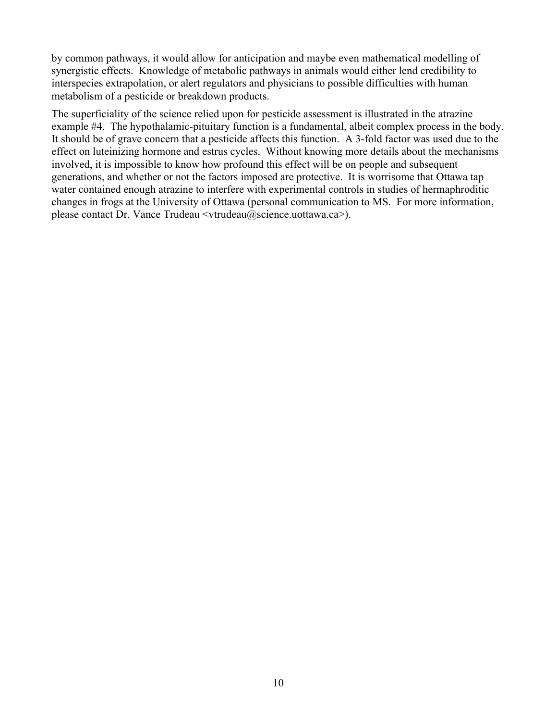by common pathways, it would allow for anticipation and maybe even mathematical modelling of synergistic effects. Knowledge of metabolic pathways in animals would either lend credibility to interspecies extrapolation, or alert regulators and physicians to possible difficulties with human metabolism of a pesticide or breakdown products.

The superficiality of the science relied upon for pesticide assessment is illustrated in the atrazine example #4. The hypothalamic-pituitary function is a fundamental, albeit complex process in the body. It should be of grave concern that a pesticide affects this function. A 3-fold factor was used due to the effect on luteinizing hormone and estrus cycles. Without knowing more details about the mechanisms involved, it is impossible to know how profound this effect will be on people and subsequent generations, and whether or not the factors imposed are protective. It is worrisome that Ottawa tap water contained enough atrazine to interfere with experimental controls in studies of hermaphroditic changes in frogs at the University of Ottawa (personal communication to MS. For more information, please contact Dr. Vance Trudeau <vtrudeau@science.uottawa.ca>).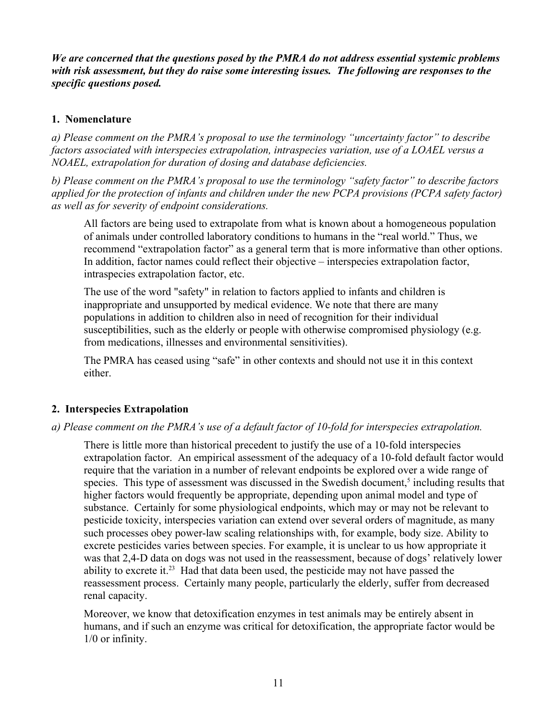*We are concerned that the questions posed by the PMRA do not address essential systemic problems with risk assessment, but they do raise some interesting issues. The following are responses to the specific questions posed.*

# **1. Nomenclature**

*a) Please comment on the PMRA's proposal to use the terminology "uncertainty factor" to describe factors associated with interspecies extrapolation, intraspecies variation, use of a LOAEL versus a NOAEL, extrapolation for duration of dosing and database deficiencies.*

*b) Please comment on the PMRA's proposal to use the terminology "safety factor" to describe factors applied for the protection of infants and children under the new PCPA provisions (PCPA safety factor) as well as for severity of endpoint considerations.*

All factors are being used to extrapolate from what is known about a homogeneous population of animals under controlled laboratory conditions to humans in the "real world." Thus, we recommend "extrapolation factor" as a general term that is more informative than other options. In addition, factor names could reflect their objective – interspecies extrapolation factor, intraspecies extrapolation factor, etc.

The use of the word "safety" in relation to factors applied to infants and children is inappropriate and unsupported by medical evidence. We note that there are many populations in addition to children also in need of recognition for their individual susceptibilities, such as the elderly or people with otherwise compromised physiology (e.g. from medications, illnesses and environmental sensitivities).

The PMRA has ceased using "safe" in other contexts and should not use it in this context either.

# **2. Interspecies Extrapolation**

# *a) Please comment on the PMRA's use of a default factor of 10-fold for interspecies extrapolation.*

There is little more than historical precedent to justify the use of a 10-fold interspecies extrapolation factor. An empirical assessment of the adequacy of a 10-fold default factor would require that the variation in a number of relevant endpoints be explored over a wide range of species. This type of assessment was discussed in the Swedish document,<sup>5</sup> including results that higher factors would frequently be appropriate, depending upon animal model and type of substance. Certainly for some physiological endpoints, which may or may not be relevant to pesticide toxicity, interspecies variation can extend over several orders of magnitude, as many such processes obey power-law scaling relationships with, for example, body size. Ability to excrete pesticides varies between species. For example, it is unclear to us how appropriate it was that 2,4-D data on dogs was not used in the reassessment, because of dogs' relatively lower ability to excrete it. $^{23}$  Had that data been used, the pesticide may not have passed the reassessment process. Certainly many people, particularly the elderly, suffer from decreased renal capacity.

Moreover, we know that detoxification enzymes in test animals may be entirely absent in humans, and if such an enzyme was critical for detoxification, the appropriate factor would be 1/0 or infinity.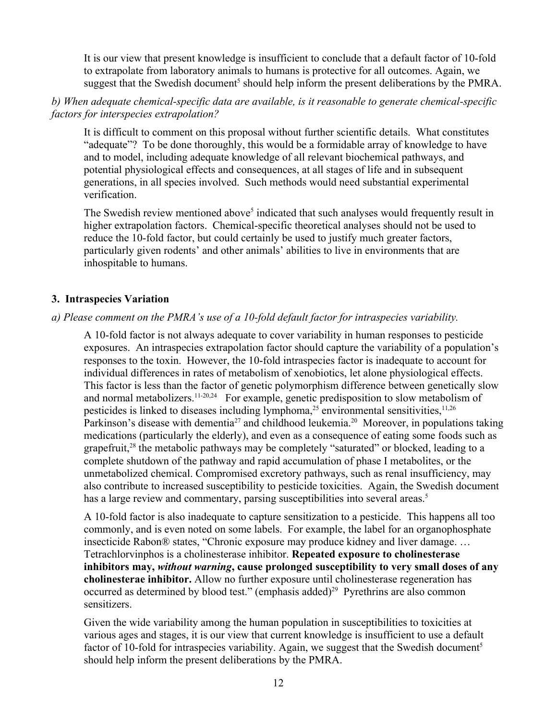It is our view that present knowledge is insufficient to conclude that a default factor of 10-fold to extrapolate from laboratory animals to humans is protective for all outcomes. Again, we suggest that the Swedish document<sup>5</sup> should help inform the present deliberations by the PMRA.

# *b) When adequate chemical-specific data are available, is it reasonable to generate chemical-specific factors for interspecies extrapolation?*

It is difficult to comment on this proposal without further scientific details. What constitutes "adequate"? To be done thoroughly, this would be a formidable array of knowledge to have and to model, including adequate knowledge of all relevant biochemical pathways, and potential physiological effects and consequences, at all stages of life and in subsequent generations, in all species involved. Such methods would need substantial experimental verification.

The Swedish review mentioned above<sup>5</sup> indicated that such analyses would frequently result in higher extrapolation factors. Chemical-specific theoretical analyses should not be used to reduce the 10-fold factor, but could certainly be used to justify much greater factors, particularly given rodents' and other animals' abilities to live in environments that are inhospitable to humans.

# **3. Intraspecies Variation**

#### *a) Please comment on the PMRA's use of a 10-fold default factor for intraspecies variability.*

A 10-fold factor is not always adequate to cover variability in human responses to pesticide exposures. An intraspecies extrapolation factor should capture the variability of a population's responses to the toxin. However, the 10-fold intraspecies factor is inadequate to account for individual differences in rates of metabolism of xenobiotics, let alone physiological effects. This factor is less than the factor of genetic polymorphism difference between genetically slow and normal metabolizers.<sup>11-20,24</sup> For example, genetic predisposition to slow metabolism of pesticides is linked to diseases including lymphoma,<sup>25</sup> environmental sensitivities,<sup>11,26</sup> Parkinson's disease with dementia<sup>27</sup> and childhood leukemia.<sup>20</sup> Moreover, in populations taking medications (particularly the elderly), and even as a consequence of eating some foods such as grapefruit,<sup>28</sup> the metabolic pathways may be completely "saturated" or blocked, leading to a complete shutdown of the pathway and rapid accumulation of phase I metabolites, or the unmetabolized chemical. Compromised excretory pathways, such as renal insufficiency, may also contribute to increased susceptibility to pesticide toxicities. Again, the Swedish document has a large review and commentary, parsing susceptibilities into several areas.<sup>5</sup>

A 10-fold factor is also inadequate to capture sensitization to a pesticide. This happens all too commonly, and is even noted on some labels. For example, the label for an organophosphate insecticide Rabon® states, "Chronic exposure may produce kidney and liver damage. … Tetrachlorvinphos is a cholinesterase inhibitor. **Repeated exposure to cholinesterase inhibitors may,** *without warning***, cause prolonged susceptibility to very small doses of any cholinesterae inhibitor.** Allow no further exposure until cholinesterase regeneration has occurred as determined by blood test." (emphasis added)<sup>29</sup> Pyrethrins are also common sensitizers.

Given the wide variability among the human population in susceptibilities to toxicities at various ages and stages, it is our view that current knowledge is insufficient to use a default factor of 10-fold for intraspecies variability. Again, we suggest that the Swedish document<sup>5</sup> should help inform the present deliberations by the PMRA.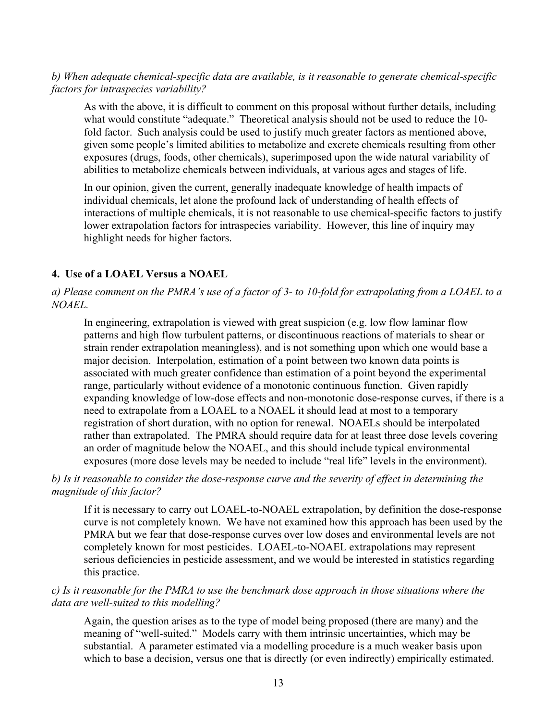#### *b) When adequate chemical-specific data are available, is it reasonable to generate chemical-specific factors for intraspecies variability?*

As with the above, it is difficult to comment on this proposal without further details, including what would constitute "adequate." Theoretical analysis should not be used to reduce the 10 fold factor. Such analysis could be used to justify much greater factors as mentioned above, given some people's limited abilities to metabolize and excrete chemicals resulting from other exposures (drugs, foods, other chemicals), superimposed upon the wide natural variability of abilities to metabolize chemicals between individuals, at various ages and stages of life.

In our opinion, given the current, generally inadequate knowledge of health impacts of individual chemicals, let alone the profound lack of understanding of health effects of interactions of multiple chemicals, it is not reasonable to use chemical-specific factors to justify lower extrapolation factors for intraspecies variability. However, this line of inquiry may highlight needs for higher factors.

#### **4. Use of a LOAEL Versus a NOAEL**

#### *a) Please comment on the PMRA's use of a factor of 3- to 10-fold for extrapolating from a LOAEL to a NOAEL.*

In engineering, extrapolation is viewed with great suspicion (e.g. low flow laminar flow patterns and high flow turbulent patterns, or discontinuous reactions of materials to shear or strain render extrapolation meaningless), and is not something upon which one would base a major decision. Interpolation, estimation of a point between two known data points is associated with much greater confidence than estimation of a point beyond the experimental range, particularly without evidence of a monotonic continuous function. Given rapidly expanding knowledge of low-dose effects and non-monotonic dose-response curves, if there is a need to extrapolate from a LOAEL to a NOAEL it should lead at most to a temporary registration of short duration, with no option for renewal. NOAELs should be interpolated rather than extrapolated. The PMRA should require data for at least three dose levels covering an order of magnitude below the NOAEL, and this should include typical environmental exposures (more dose levels may be needed to include "real life" levels in the environment).

#### *b) Is it reasonable to consider the dose-response curve and the severity of effect in determining the magnitude of this factor?*

If it is necessary to carry out LOAEL-to-NOAEL extrapolation, by definition the dose-response curve is not completely known. We have not examined how this approach has been used by the PMRA but we fear that dose-response curves over low doses and environmental levels are not completely known for most pesticides. LOAEL-to-NOAEL extrapolations may represent serious deficiencies in pesticide assessment, and we would be interested in statistics regarding this practice.

#### *c) Is it reasonable for the PMRA to use the benchmark dose approach in those situations where the data are well-suited to this modelling?*

Again, the question arises as to the type of model being proposed (there are many) and the meaning of "well-suited." Models carry with them intrinsic uncertainties, which may be substantial. A parameter estimated via a modelling procedure is a much weaker basis upon which to base a decision, versus one that is directly (or even indirectly) empirically estimated.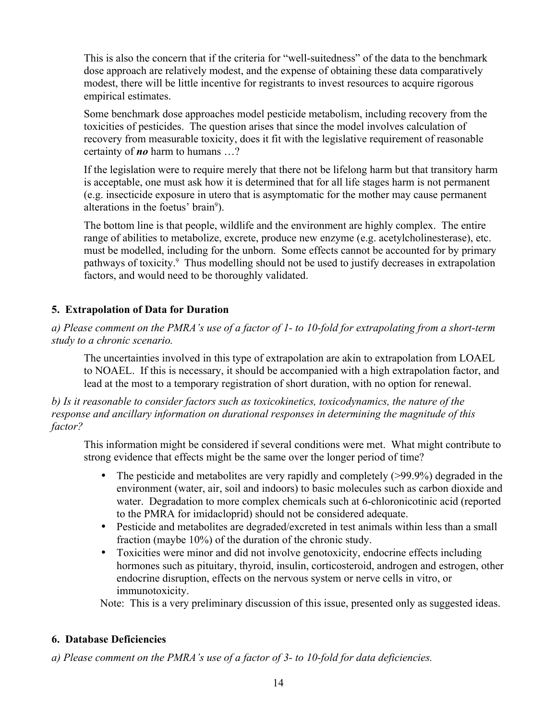This is also the concern that if the criteria for "well-suitedness" of the data to the benchmark dose approach are relatively modest, and the expense of obtaining these data comparatively modest, there will be little incentive for registrants to invest resources to acquire rigorous empirical estimates.

Some benchmark dose approaches model pesticide metabolism, including recovery from the toxicities of pesticides. The question arises that since the model involves calculation of recovery from measurable toxicity, does it fit with the legislative requirement of reasonable certainty of *no* harm to humans …?

If the legislation were to require merely that there not be lifelong harm but that transitory harm is acceptable, one must ask how it is determined that for all life stages harm is not permanent (e.g. insecticide exposure in utero that is asymptomatic for the mother may cause permanent alterations in the foetus' brain<sup>9</sup>).

The bottom line is that people, wildlife and the environment are highly complex. The entire range of abilities to metabolize, excrete, produce new enzyme (e.g. acetylcholinesterase), etc. must be modelled, including for the unborn. Some effects cannot be accounted for by primary pathways of toxicity.<sup>9</sup> Thus modelling should not be used to justify decreases in extrapolation factors, and would need to be thoroughly validated.

# **5. Extrapolation of Data for Duration**

*a) Please comment on the PMRA's use of a factor of 1- to 10-fold for extrapolating from a short-term study to a chronic scenario.*

The uncertainties involved in this type of extrapolation are akin to extrapolation from LOAEL to NOAEL. If this is necessary, it should be accompanied with a high extrapolation factor, and lead at the most to a temporary registration of short duration, with no option for renewal.

*b) Is it reasonable to consider factors such as toxicokinetics, toxicodynamics, the nature of the response and ancillary information on durational responses in determining the magnitude of this factor?*

This information might be considered if several conditions were met. What might contribute to strong evidence that effects might be the same over the longer period of time?

- The pesticide and metabolites are very rapidly and completely (>99.9%) degraded in the environment (water, air, soil and indoors) to basic molecules such as carbon dioxide and water. Degradation to more complex chemicals such at 6-chloronicotinic acid (reported to the PMRA for imidacloprid) should not be considered adequate.
- Pesticide and metabolites are degraded/excreted in test animals within less than a small fraction (maybe 10%) of the duration of the chronic study.
- Toxicities were minor and did not involve genotoxicity, endocrine effects including hormones such as pituitary, thyroid, insulin, corticosteroid, androgen and estrogen, other endocrine disruption, effects on the nervous system or nerve cells in vitro, or immunotoxicity.

Note: This is a very preliminary discussion of this issue, presented only as suggested ideas.

# **6. Database Deficiencies**

*a) Please comment on the PMRA's use of a factor of 3- to 10-fold for data deficiencies.*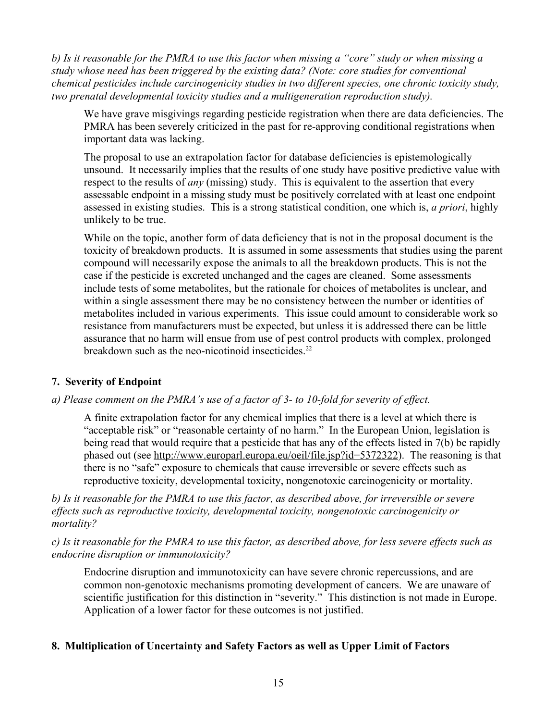*b) Is it reasonable for the PMRA to use this factor when missing a "core" study or when missing a study whose need has been triggered by the existing data? (Note: core studies for conventional chemical pesticides include carcinogenicity studies in two different species, one chronic toxicity study, two prenatal developmental toxicity studies and a multigeneration reproduction study).*

We have grave misgivings regarding pesticide registration when there are data deficiencies. The PMRA has been severely criticized in the past for re-approving conditional registrations when important data was lacking.

The proposal to use an extrapolation factor for database deficiencies is epistemologically unsound. It necessarily implies that the results of one study have positive predictive value with respect to the results of *any* (missing) study. This is equivalent to the assertion that every assessable endpoint in a missing study must be positively correlated with at least one endpoint assessed in existing studies. This is a strong statistical condition, one which is, *a priori*, highly unlikely to be true.

While on the topic, another form of data deficiency that is not in the proposal document is the toxicity of breakdown products. It is assumed in some assessments that studies using the parent compound will necessarily expose the animals to all the breakdown products. This is not the case if the pesticide is excreted unchanged and the cages are cleaned. Some assessments include tests of some metabolites, but the rationale for choices of metabolites is unclear, and within a single assessment there may be no consistency between the number or identities of metabolites included in various experiments. This issue could amount to considerable work so resistance from manufacturers must be expected, but unless it is addressed there can be little assurance that no harm will ensue from use of pest control products with complex, prolonged breakdown such as the neo-nicotinoid insecticides.<sup>22</sup>

# **7. Severity of Endpoint**

# *a) Please comment on the PMRA's use of a factor of 3- to 10-fold for severity of effect.*

A finite extrapolation factor for any chemical implies that there is a level at which there is "acceptable risk" or "reasonable certainty of no harm." In the European Union, legislation is being read that would require that a pesticide that has any of the effects listed in 7(b) be rapidly phased out (see [http://www.europarl.europa.eu/oeil/file.jsp?id=5372322\)](http://www.europarl.europa.eu/oeil/file.jsp?id=5372322). The reasoning is that there is no "safe" exposure to chemicals that cause irreversible or severe effects such as reproductive toxicity, developmental toxicity, nongenotoxic carcinogenicity or mortality.

*b) Is it reasonable for the PMRA to use this factor, as described above, for irreversible or severe effects such as reproductive toxicity, developmental toxicity, nongenotoxic carcinogenicity or mortality?*

*c) Is it reasonable for the PMRA to use this factor, as described above, for less severe effects such as endocrine disruption or immunotoxicity?*

Endocrine disruption and immunotoxicity can have severe chronic repercussions, and are common non-genotoxic mechanisms promoting development of cancers. We are unaware of scientific justification for this distinction in "severity." This distinction is not made in Europe. Application of a lower factor for these outcomes is not justified.

# **8. Multiplication of Uncertainty and Safety Factors as well as Upper Limit of Factors**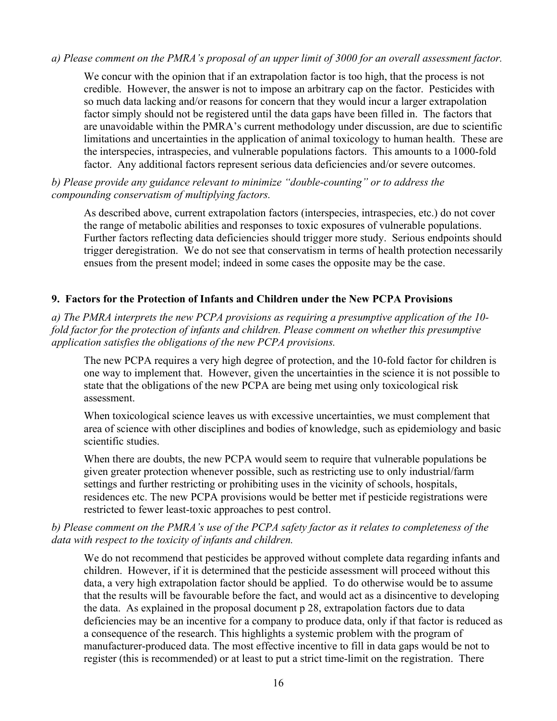#### *a) Please comment on the PMRA's proposal of an upper limit of 3000 for an overall assessment factor.*

We concur with the opinion that if an extrapolation factor is too high, that the process is not credible. However, the answer is not to impose an arbitrary cap on the factor. Pesticides with so much data lacking and/or reasons for concern that they would incur a larger extrapolation factor simply should not be registered until the data gaps have been filled in. The factors that are unavoidable within the PMRA's current methodology under discussion, are due to scientific limitations and uncertainties in the application of animal toxicology to human health. These are the interspecies, intraspecies, and vulnerable populations factors. This amounts to a 1000-fold factor. Any additional factors represent serious data deficiencies and/or severe outcomes.

#### *b) Please provide any guidance relevant to minimize "double-counting" or to address the compounding conservatism of multiplying factors.*

As described above, current extrapolation factors (interspecies, intraspecies, etc.) do not cover the range of metabolic abilities and responses to toxic exposures of vulnerable populations. Further factors reflecting data deficiencies should trigger more study. Serious endpoints should trigger deregistration. We do not see that conservatism in terms of health protection necessarily ensues from the present model; indeed in some cases the opposite may be the case.

#### **9. Factors for the Protection of Infants and Children under the New PCPA Provisions**

*a) The PMRA interprets the new PCPA provisions as requiring a presumptive application of the 10 fold factor for the protection of infants and children. Please comment on whether this presumptive application satisfies the obligations of the new PCPA provisions.*

The new PCPA requires a very high degree of protection, and the 10-fold factor for children is one way to implement that. However, given the uncertainties in the science it is not possible to state that the obligations of the new PCPA are being met using only toxicological risk assessment.

When toxicological science leaves us with excessive uncertainties, we must complement that area of science with other disciplines and bodies of knowledge, such as epidemiology and basic scientific studies.

When there are doubts, the new PCPA would seem to require that vulnerable populations be given greater protection whenever possible, such as restricting use to only industrial/farm settings and further restricting or prohibiting uses in the vicinity of schools, hospitals, residences etc. The new PCPA provisions would be better met if pesticide registrations were restricted to fewer least-toxic approaches to pest control.

# *b) Please comment on the PMRA's use of the PCPA safety factor as it relates to completeness of the data with respect to the toxicity of infants and children.*

We do not recommend that pesticides be approved without complete data regarding infants and children. However, if it is determined that the pesticide assessment will proceed without this data, a very high extrapolation factor should be applied. To do otherwise would be to assume that the results will be favourable before the fact, and would act as a disincentive to developing the data. As explained in the proposal document p 28, extrapolation factors due to data deficiencies may be an incentive for a company to produce data, only if that factor is reduced as a consequence of the research. This highlights a systemic problem with the program of manufacturer-produced data. The most effective incentive to fill in data gaps would be not to register (this is recommended) or at least to put a strict time-limit on the registration. There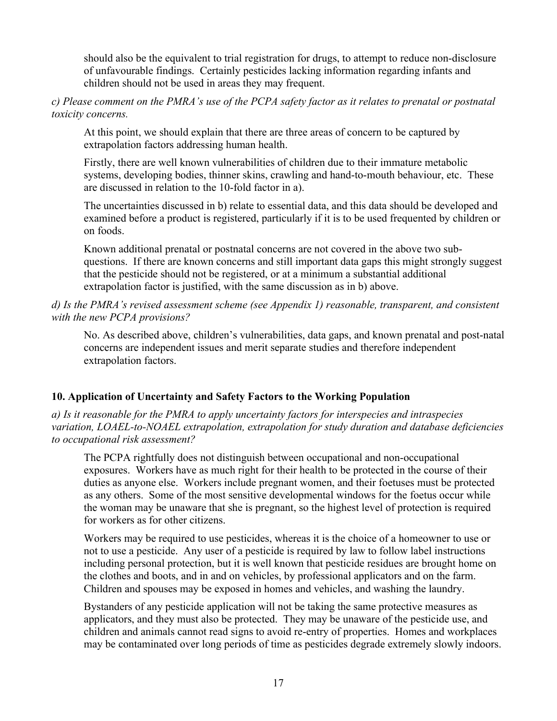should also be the equivalent to trial registration for drugs, to attempt to reduce non-disclosure of unfavourable findings. Certainly pesticides lacking information regarding infants and children should not be used in areas they may frequent.

*c) Please comment on the PMRA's use of the PCPA safety factor as it relates to prenatal or postnatal toxicity concerns.*

At this point, we should explain that there are three areas of concern to be captured by extrapolation factors addressing human health.

Firstly, there are well known vulnerabilities of children due to their immature metabolic systems, developing bodies, thinner skins, crawling and hand-to-mouth behaviour, etc. These are discussed in relation to the 10-fold factor in a).

The uncertainties discussed in b) relate to essential data, and this data should be developed and examined before a product is registered, particularly if it is to be used frequented by children or on foods.

Known additional prenatal or postnatal concerns are not covered in the above two subquestions. If there are known concerns and still important data gaps this might strongly suggest that the pesticide should not be registered, or at a minimum a substantial additional extrapolation factor is justified, with the same discussion as in b) above.

### *d) Is the PMRA's revised assessment scheme (see Appendix 1) reasonable, transparent, and consistent with the new PCPA provisions?*

No. As described above, children's vulnerabilities, data gaps, and known prenatal and post-natal concerns are independent issues and merit separate studies and therefore independent extrapolation factors.

# **10. Application of Uncertainty and Safety Factors to the Working Population**

*a) Is it reasonable for the PMRA to apply uncertainty factors for interspecies and intraspecies variation, LOAEL-to-NOAEL extrapolation, extrapolation for study duration and database deficiencies to occupational risk assessment?*

The PCPA rightfully does not distinguish between occupational and non-occupational exposures. Workers have as much right for their health to be protected in the course of their duties as anyone else. Workers include pregnant women, and their foetuses must be protected as any others. Some of the most sensitive developmental windows for the foetus occur while the woman may be unaware that she is pregnant, so the highest level of protection is required for workers as for other citizens.

Workers may be required to use pesticides, whereas it is the choice of a homeowner to use or not to use a pesticide. Any user of a pesticide is required by law to follow label instructions including personal protection, but it is well known that pesticide residues are brought home on the clothes and boots, and in and on vehicles, by professional applicators and on the farm. Children and spouses may be exposed in homes and vehicles, and washing the laundry.

Bystanders of any pesticide application will not be taking the same protective measures as applicators, and they must also be protected. They may be unaware of the pesticide use, and children and animals cannot read signs to avoid re-entry of properties. Homes and workplaces may be contaminated over long periods of time as pesticides degrade extremely slowly indoors.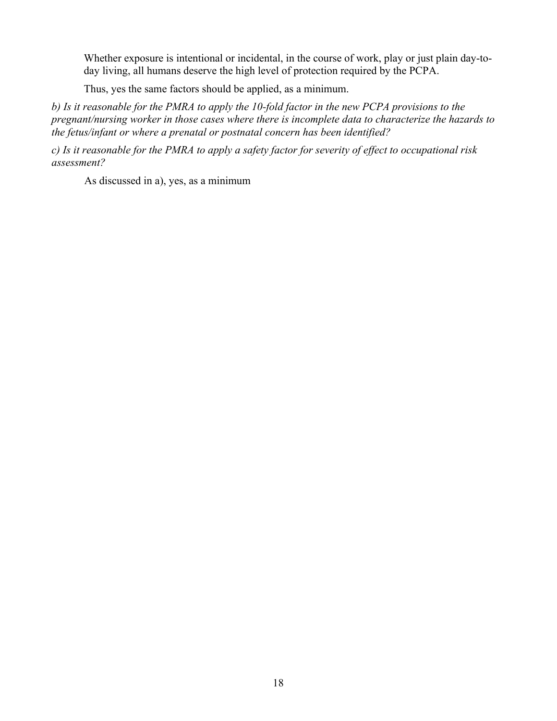Whether exposure is intentional or incidental, in the course of work, play or just plain day-today living, all humans deserve the high level of protection required by the PCPA.

Thus, yes the same factors should be applied, as a minimum.

*b) Is it reasonable for the PMRA to apply the 10-fold factor in the new PCPA provisions to the pregnant/nursing worker in those cases where there is incomplete data to characterize the hazards to the fetus/infant or where a prenatal or postnatal concern has been identified?*

*c) Is it reasonable for the PMRA to apply a safety factor for severity of effect to occupational risk assessment?*

As discussed in a), yes, as a minimum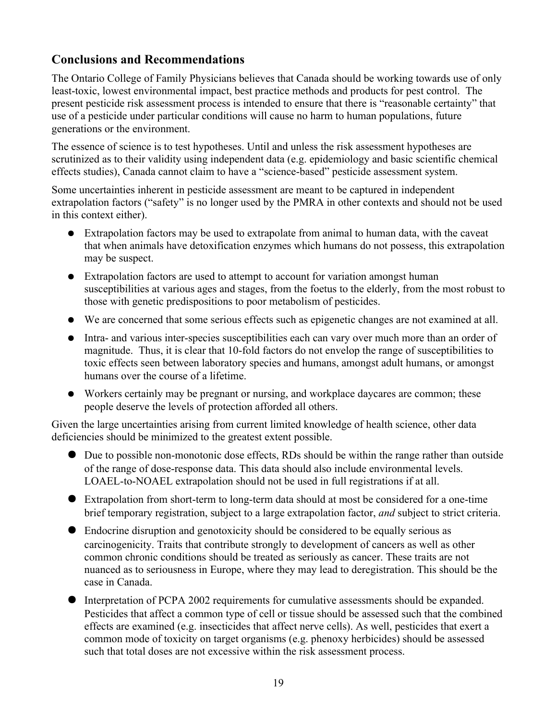# **Conclusions and Recommendations**

The Ontario College of Family Physicians believes that Canada should be working towards use of only least-toxic, lowest environmental impact, best practice methods and products for pest control. The present pesticide risk assessment process is intended to ensure that there is "reasonable certainty" that use of a pesticide under particular conditions will cause no harm to human populations, future generations or the environment.

The essence of science is to test hypotheses. Until and unless the risk assessment hypotheses are scrutinized as to their validity using independent data (e.g. epidemiology and basic scientific chemical effects studies), Canada cannot claim to have a "science-based" pesticide assessment system.

Some uncertainties inherent in pesticide assessment are meant to be captured in independent extrapolation factors ("safety" is no longer used by the PMRA in other contexts and should not be used in this context either).

- Extrapolation factors may be used to extrapolate from animal to human data, with the caveat that when animals have detoxification enzymes which humans do not possess, this extrapolation may be suspect.
- Extrapolation factors are used to attempt to account for variation amongst human susceptibilities at various ages and stages, from the foetus to the elderly, from the most robust to those with genetic predispositions to poor metabolism of pesticides.
- We are concerned that some serious effects such as epigenetic changes are not examined at all.
- Intra- and various inter-species susceptibilities each can vary over much more than an order of magnitude. Thus, it is clear that 10-fold factors do not envelop the range of susceptibilities to toxic effects seen between laboratory species and humans, amongst adult humans, or amongst humans over the course of a lifetime.
- Workers certainly may be pregnant or nursing, and workplace daycares are common; these people deserve the levels of protection afforded all others.

Given the large uncertainties arising from current limited knowledge of health science, other data deficiencies should be minimized to the greatest extent possible.

- Due to possible non-monotonic dose effects, RDs should be within the range rather than outside of the range of dose-response data. This data should also include environmental levels. LOAEL-to-NOAEL extrapolation should not be used in full registrations if at all.
- Extrapolation from short-term to long-term data should at most be considered for a one-time brief temporary registration, subject to a large extrapolation factor, *and* subject to strict criteria.
- Endocrine disruption and genotoxicity should be considered to be equally serious as carcinogenicity. Traits that contribute strongly to development of cancers as well as other common chronic conditions should be treated as seriously as cancer. These traits are not nuanced as to seriousness in Europe, where they may lead to deregistration. This should be the case in Canada.
- Interpretation of PCPA 2002 requirements for cumulative assessments should be expanded. Pesticides that affect a common type of cell or tissue should be assessed such that the combined effects are examined (e.g. insecticides that affect nerve cells). As well, pesticides that exert a common mode of toxicity on target organisms (e.g. phenoxy herbicides) should be assessed such that total doses are not excessive within the risk assessment process.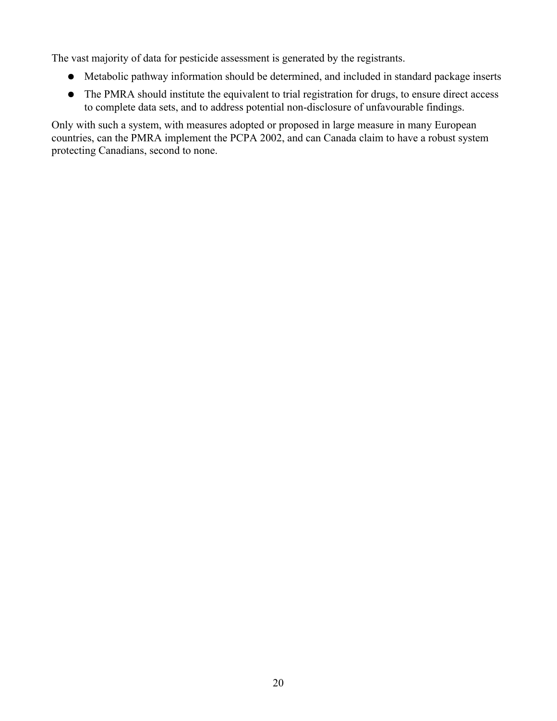The vast majority of data for pesticide assessment is generated by the registrants.

- Metabolic pathway information should be determined, and included in standard package inserts
- The PMRA should institute the equivalent to trial registration for drugs, to ensure direct access to complete data sets, and to address potential non-disclosure of unfavourable findings.

Only with such a system, with measures adopted or proposed in large measure in many European countries, can the PMRA implement the PCPA 2002, and can Canada claim to have a robust system protecting Canadians, second to none.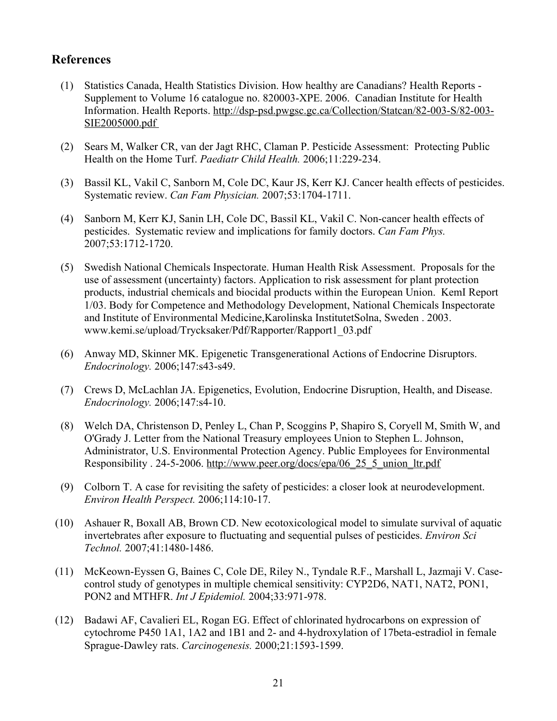# **References**

- (1) Statistics Canada, Health Statistics Division. How healthy are Canadians? Health Reports Supplement to Volume 16 catalogue no. 820003-XPE. 2006. Canadian Institute for Health Information. Health Reports. http://dsp-psd.pwgsc.gc.ca/Collection/Statcan/82-003-S/82-003- SIE2005000.pdf
- (2) Sears M, Walker CR, van der Jagt RHC, Claman P. Pesticide Assessment: Protecting Public Health on the Home Turf. *Paediatr Child Health.* 2006;11:229-234.
- (3) Bassil KL, Vakil C, Sanborn M, Cole DC, Kaur JS, Kerr KJ. Cancer health effects of pesticides. Systematic review. *Can Fam Physician.* 2007;53:1704-1711.
- (4) Sanborn M, Kerr KJ, Sanin LH, Cole DC, Bassil KL, Vakil C. Non-cancer health effects of pesticides. Systematic review and implications for family doctors. *Can Fam Phys.* 2007;53:1712-1720.
- (5) Swedish National Chemicals Inspectorate. Human Health Risk Assessment. Proposals for the use of assessment (uncertainty) factors. Application to risk assessment for plant protection products, industrial chemicals and biocidal products within the European Union. KemI Report 1/03. Body for Competence and Methodology Development, National Chemicals Inspectorate and Institute of Environmental Medicine,Karolinska InstitutetSolna, Sweden . 2003. www.kemi.se/upload/Trycksaker/Pdf/Rapporter/Rapport1\_03.pdf
- (6) Anway MD, Skinner MK. Epigenetic Transgenerational Actions of Endocrine Disruptors. *Endocrinology.* 2006;147:s43-s49.
- (7) Crews D, McLachlan JA. Epigenetics, Evolution, Endocrine Disruption, Health, and Disease. *Endocrinology.* 2006;147:s4-10.
- (8) Welch DA, Christenson D, Penley L, Chan P, Scoggins P, Shapiro S, Coryell M, Smith W, and O'Grady J. Letter from the National Treasury employees Union to Stephen L. Johnson, Administrator, U.S. Environmental Protection Agency. Public Employees for Environmental Responsibility . 24-5-2006. http://www.peer.org/docs/epa/06\_25\_5\_union\_ltr.pdf
- (9) Colborn T. A case for revisiting the safety of pesticides: a closer look at neurodevelopment. *Environ Health Perspect.* 2006;114:10-17.
- (10) Ashauer R, Boxall AB, Brown CD. New ecotoxicological model to simulate survival of aquatic invertebrates after exposure to fluctuating and sequential pulses of pesticides. *Environ Sci Technol.* 2007;41:1480-1486.
- (11) McKeown-Eyssen G, Baines C, Cole DE, Riley N., Tyndale R.F., Marshall L, Jazmaji V. Casecontrol study of genotypes in multiple chemical sensitivity: CYP2D6, NAT1, NAT2, PON1, PON2 and MTHFR. *Int J Epidemiol.* 2004;33:971-978.
- (12) Badawi AF, Cavalieri EL, Rogan EG. Effect of chlorinated hydrocarbons on expression of cytochrome P450 1A1, 1A2 and 1B1 and 2- and 4-hydroxylation of 17beta-estradiol in female Sprague-Dawley rats. *Carcinogenesis.* 2000;21:1593-1599.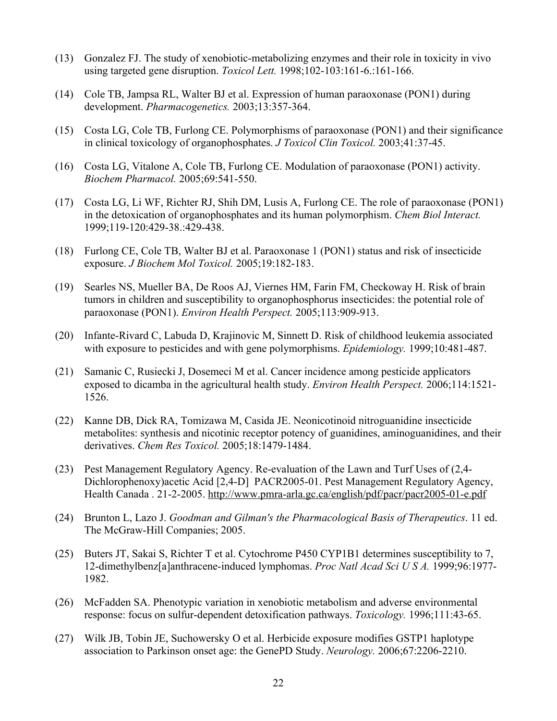- (13) Gonzalez FJ. The study of xenobiotic-metabolizing enzymes and their role in toxicity in vivo using targeted gene disruption. *Toxicol Lett.* 1998;102-103:161-6.:161-166.
- (14) Cole TB, Jampsa RL, Walter BJ et al. Expression of human paraoxonase (PON1) during development. *Pharmacogenetics.* 2003;13:357-364.
- (15) Costa LG, Cole TB, Furlong CE. Polymorphisms of paraoxonase (PON1) and their significance in clinical toxicology of organophosphates. *J Toxicol Clin Toxicol.* 2003;41:37-45.
- (16) Costa LG, Vitalone A, Cole TB, Furlong CE. Modulation of paraoxonase (PON1) activity. *Biochem Pharmacol.* 2005;69:541-550.
- (17) Costa LG, Li WF, Richter RJ, Shih DM, Lusis A, Furlong CE. The role of paraoxonase (PON1) in the detoxication of organophosphates and its human polymorphism. *Chem Biol Interact.* 1999;119-120:429-38.:429-438.
- (18) Furlong CE, Cole TB, Walter BJ et al. Paraoxonase 1 (PON1) status and risk of insecticide exposure. *J Biochem Mol Toxicol.* 2005;19:182-183.
- (19) Searles NS, Mueller BA, De Roos AJ, Viernes HM, Farin FM, Checkoway H. Risk of brain tumors in children and susceptibility to organophosphorus insecticides: the potential role of paraoxonase (PON1). *Environ Health Perspect.* 2005;113:909-913.
- (20) Infante-Rivard C, Labuda D, Krajinovic M, Sinnett D. Risk of childhood leukemia associated with exposure to pesticides and with gene polymorphisms. *Epidemiology.* 1999;10:481-487.
- (21) Samanic C, Rusiecki J, Dosemeci M et al. Cancer incidence among pesticide applicators exposed to dicamba in the agricultural health study. *Environ Health Perspect.* 2006;114:1521- 1526.
- (22) Kanne DB, Dick RA, Tomizawa M, Casida JE. Neonicotinoid nitroguanidine insecticide metabolites: synthesis and nicotinic receptor potency of guanidines, aminoguanidines, and their derivatives. *Chem Res Toxicol.* 2005;18:1479-1484.
- (23) Pest Management Regulatory Agency. Re-evaluation of the Lawn and Turf Uses of (2,4- Dichlorophenoxy)acetic Acid [2,4-D] PACR2005-01. Pest Management Regulatory Agency, Health Canada . 21-2-2005. http://www.pmra-arla.gc.ca/english/pdf/pacr/pacr2005-01-e.pdf
- (24) Brunton L, Lazo J. *Goodman and Gilman's the Pharmacological Basis of Therapeutics*. 11 ed. The McGraw-Hill Companies; 2005.
- (25) Buters JT, Sakai S, Richter T et al. Cytochrome P450 CYP1B1 determines susceptibility to 7, 12-dimethylbenz[a]anthracene-induced lymphomas. *Proc Natl Acad Sci U S A.* 1999;96:1977- 1982.
- (26) McFadden SA. Phenotypic variation in xenobiotic metabolism and adverse environmental response: focus on sulfur-dependent detoxification pathways. *Toxicology.* 1996;111:43-65.
- (27) Wilk JB, Tobin JE, Suchowersky O et al. Herbicide exposure modifies GSTP1 haplotype association to Parkinson onset age: the GenePD Study. *Neurology.* 2006;67:2206-2210.